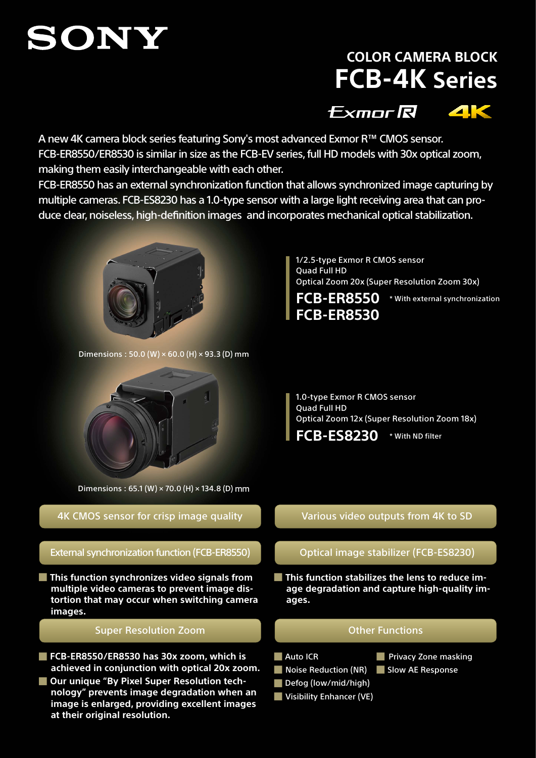# SONY

# **COLOR CAMERA BLOCK FCB-4K Series**

**Exmor R 4K** 

A new 4K camera block series featuring Sony's most advanced Exmor R™ CMOS sensor. FCB-ER8550/ER8530 is similar in size as the FCB-EV series, full HD models with 30x optical zoom, making them easily interchangeable with each other.

FCB-ER8550 has an external synchronization function that allows synchronized image capturing by multiple cameras. FCB-ES8230 has a 1.0-type sensor with a large light receiving area that can produce clear, noiseless, high-definition images and incorporates mechanical optical stabilization.



Dimensions:  $50.0$  (W)  $\times$  60.0 (H)  $\times$  93.3 (D) mm



Dimensions : 65.1 (W) × 70.0 (H) × 134.8 (D) mm

## 4K CMOS sensor for crisp image quality

External synchronization function (FCB-ER8550) Optical image stabilizer (FCB-ES8230)

**■ This function synchronizes video signals from multiple video cameras to prevent image distortion that may occur when switching camera images.**

#### Super Resolution Zoom **Committee Controller Functions** Other Functions

- **■ FCB-ER8550/ER8530 has 30x zoom, which is achieved in conjunction with optical 20x zoom.**
- Our unique "By Pixel Super Resolution tech**nology" prevents image degradation when an image is enlarged, providing excellent images at their original resolution.**

1/2.5-type Exmor R CMOS sensor Quad Full HD Optical Zoom 20x (Super Resolution Zoom 30x)

**FCB-ER8530**

**FCB-ER8550** \* With external synchronization

1.0-type Exmor R CMOS sensor Quad Full HD Optical Zoom 12x (Super Resolution Zoom 18x)

**FCB-ES8230** \* With ND filter

### Various video outputs from 4K to SD

**■ This function stabilizes the lens to reduce image degradation and capture high-quality images.**

- **■** Auto ICR
- 
- Noise Reduction (NR) Slow AE Response

**■** Privacy Zone masking

**■** Defog (low/mid/high) **■** Visibility Enhancer (VE)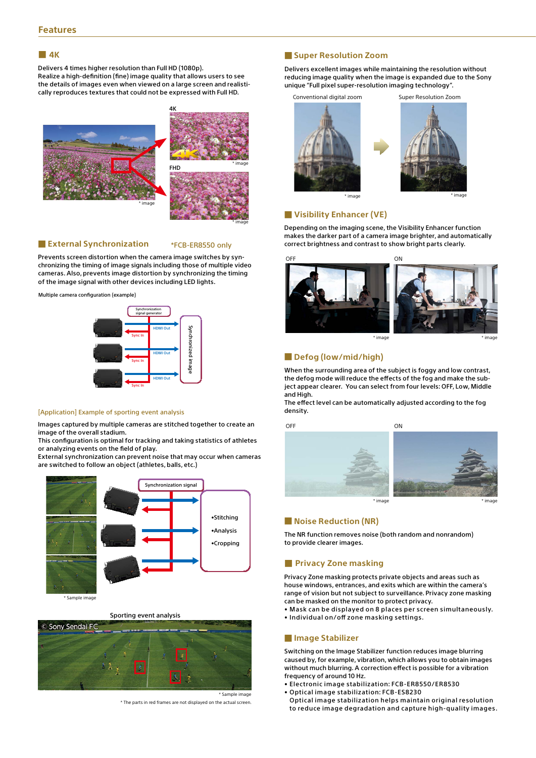#### ■ **4K**

Delivers 4 times higher resolution than Full HD (1080p). Realize a high-definition (fine) image quality that allows users to see the details of images even when viewed on a large screen and realistically reproduces textures that could not be expressed with Full HD.



#### ■ **External Synchronization**

#### \*FCB-ER8550 only

Prevents screen distortion when the camera image switches by synchronizing the timing of image signals including those of multiple video cameras. Also, prevents image distortion by synchronizing the timing of the image signal with other devices including LED lights.

Multiple camera configuration (example)



#### [Application] Example of sporting event analysis

Images captured by multiple cameras are stitched together to create an image of the overall stadium.

This configuration is optimal for tracking and taking statistics of athletes or analyzing events on the field of play.

External synchronization can prevent noise that may occur when cameras are switched to follow an object (athletes, balls, etc.)



\* Sample image

#### Sporting event analysis



\* The parts in red frames are not displayed on the actual screen.

#### ■ **Super Resolution Zoom**

Delivers excellent images while maintaining the resolution without reducing image quality when the image is expanded due to the Sony unique "Full pixel super-resolution imaging technology".





■ **Visibility Enhancer (VE)**

Depending on the imaging scene, the Visibility Enhancer function makes the darker part of a camera image brighter, and automatically correct brightness and contrast to show bright parts clearly.



#### ■ **Defog (low/mid/high)**

When the surrounding area of the subject is foggy and low contrast, the defog mode will reduce the effects of the fog and make the subject appear clearer. You can select from four levels: OFF, Low, Middle and High.

The effect level can be automatically adjusted according to the fog density.

OFF ON CONTROL CONTROL CONTROL CONTROL CONTROL CONTROL CONTROL CONTROL CONTROL CONTROL CONTROL CONTROL CONTROL CONTROL CONTROL CONTROL CONTROL CONTROL CONTROL CONTROL CONTROL CONTROL CONTROL CONTROL CONTROL CONTROL CONTROL



#### ■ **Noise Reduction (NR)**

The NR function removes noise (both random and nonrandom) to provide clearer images.

#### ■ **Privacy Zone masking**

Privacy Zone masking protects private objects and areas such as house windows, entrances, and exits which are within the camera's range of vision but not subject to surveillance. Privacy zone masking can be masked on the monitor to protect privacy.

• Mask can be displayed on 8 places per screen simultaneously.

• Individual on/off zone masking settings.

#### ■ **Image Stabilizer**

Switching on the Image Stabilizer function reduces image blurring caused by, for example, vibration, which allows you to obtain images without much blurring. A correction effect is possible for a vibration frequency of around 10 Hz.

- Electronic image stabilization: FCB-ER8550/ER8530
- Optical image stabilization: FCB-ES8230
- Optical image stabilization helps maintain original resolution to reduce image degradation and capture high-quality images.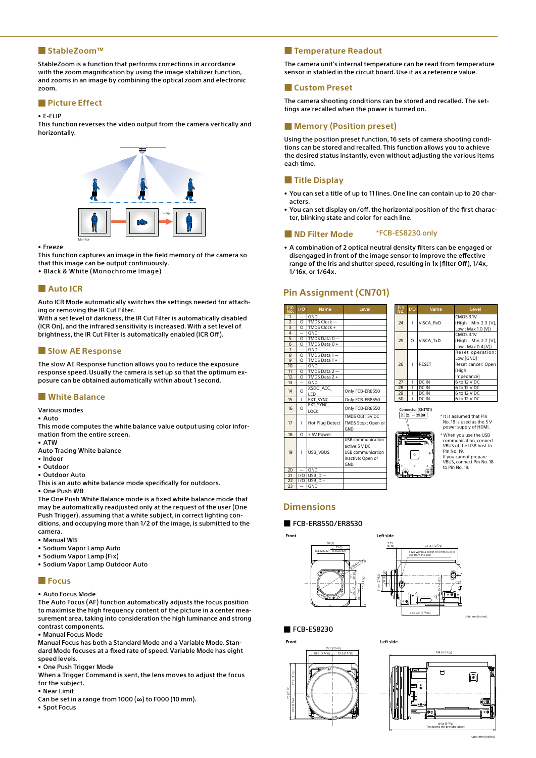#### ■ **StableZoom™**

StableZoom is a function that performs corrections in accordance with the zoom magnification by using the image stabilizer function, and zooms in an image by combining the optical zoom and electronic zoom.

#### ■ **Picture Effect**

#### • E-FLIP

This function reverses the video output from the camera vertically and horizontally.



#### • Freeze

This function captures an image in the field memory of the camera so that this image can be output continuously.

• Black & White (Monochrome Image)

#### ■ **Auto ICR**

Auto ICR Mode automatically switches the settings needed for attaching or removing the IR Cut Filter.

With a set level of darkness, the IR Cut Filter is automatically disabled (ICR On), and the infrared sensitivity is increased. With a set level of brightness, the IR Cut Filter is automatically enabled (ICR Off).

#### ■ **Slow AE Response**

The slow AE Response function allows you to reduce the exposure response speed. Usually the camera is set up so that the optimum exposure can be obtained automatically within about 1 second.

#### ■ **White Balance**

Various modes

• Auto

This mode computes the white balance value output using color information from the entire screen.

- ATW
- Auto Tracing White balance
- Indoor
- Outdoor
- Outdoor Auto

This is an auto white balance mode specifically for outdoors. • One Push WB

The One Push White Balance mode is a fixed white balance mode that may be automatically readjusted only at the request of the user (One Push Trigger), assuming that a white subject, in correct lighting conditions, and occupying more than 1/2 of the image, is submitted to the camera.

- Manual WB
- Sodium Vapor Lamp Auto
- Sodium Vapor Lamp (Fix)
- Sodium Vapor Lamp Outdoor Auto

#### ■ **Focus**

• Auto Focus Mode

The Auto Focus (AF) function automatically adjusts the focus position to maximise the high frequency content of the picture in a center measurement area, taking into consideration the high luminance and strong contrast components.

• Manual Focus Mode

Manual Focus has both a Standard Mode and a Variable Mode. Standard Mode focuses at a fixed rate of speed. Variable Mode has eight speed levels.

• One Push Trigger Mode

When a Trigger Command is sent, the lens moves to adjust the focus for the subject.

- Near Limit
- Can be set in a range from  $1000 \, (\infty)$  to F000 (10 mm).
- Spot Focus

#### ■ **Temperature Readout**

The camera unit's internal temperature can be read from temperature sensor in stabled in the circuit board. Use it as a reference value.

#### ■ **Custom Preset**

The camera shooting conditions can be stored and recalled. The settings are recalled when the power is turned on.

#### ■ **Memory (Position preset)**

Using the position preset function, 16 sets of camera shooting conditions can be stored and recalled. This function allows you to achieve the desired status instantly, even without adjusting the various items each time.

#### ■ **Title Display**

- You can set a title of up to 11 lines. One line can contain up to 20 characters.
- You can set display on/off, the horizontal position of the first character, blinking state and color for each line.

#### ■ **ND Filter Mode** \*FCB-ES8230 only

• A combination of 2 optical neutral density filters can be engaged or disengaged in front of the image sensor to improve the effective range of the Iris and shutter speed, resulting in 1x (filter Off), 1/4x, 1/16x, or 1/64x.

#### **Pin Assignment (CN701)**

| Pin<br>No.               | 1/0                      | <b>Name</b>             | Level                                                                                      |  |
|--------------------------|--------------------------|-------------------------|--------------------------------------------------------------------------------------------|--|
| 1                        |                          | GND                     |                                                                                            |  |
| $\frac{2}{3}$            | $\Omega$                 | TMDS Clock-             |                                                                                            |  |
|                          | $\overline{\Omega}$      | TMDS Clock +            |                                                                                            |  |
| $\overline{4}$           |                          | GND                     |                                                                                            |  |
| 5                        | $\Omega$                 | TMDS Data $0 -$         |                                                                                            |  |
| $\overline{6}$           | $\Omega$                 | TMDS Data 0 +           |                                                                                            |  |
| $\overline{7}$           |                          | GND                     |                                                                                            |  |
| 8                        | $\Omega$                 | TMDS Data 1-            |                                                                                            |  |
| 9                        | $\Omega$                 | TMDS Data 1+            |                                                                                            |  |
| 10                       | $\overline{\phantom{0}}$ | GND                     |                                                                                            |  |
| 11                       | $\Omega$                 | TMDS Data $2-$          |                                                                                            |  |
| 12                       | $\Omega$                 | TMDS Data 2+            |                                                                                            |  |
| 13                       | -                        | GND                     |                                                                                            |  |
| 14                       | $\Omega$                 | XSDO ACC<br>I FD        | Only FCB-ER8550                                                                            |  |
| 15                       | L                        | EXT_SYNC                | Only FCB-ER8550                                                                            |  |
| 16                       | $\Omega$                 | EXT SYNC<br><b>LOCK</b> | Only FCB-ER8550                                                                            |  |
| 17                       | Ĭ.                       | Hot Plug Detect         | TMDS Out: 5V DC<br>TMDS Stop: Open or<br>GND                                               |  |
| 18                       | $\overline{O}$           | + 5V Power              |                                                                                            |  |
| 19                       | ı                        | <b>USB VBUS</b>         | USB communication<br>active:5 V DC<br><b>USB</b> communication<br>inactive: Open or<br>GND |  |
| 20                       |                          | GND                     |                                                                                            |  |
| 21                       | I/O                      | $USB$ $D -$             |                                                                                            |  |
| 22                       | 1/0                      | USB $D +$               |                                                                                            |  |
| $\overline{\mathcal{L}}$ |                          | CND                     |                                                                                            |  |

| Pin<br>No. | $V\overline{O}$ | <b>Name</b>      | Level               |  |
|------------|-----------------|------------------|---------------------|--|
|            |                 |                  | CMOS 3.1V           |  |
| 24         |                 | VISCA RxD        | (High: Min 2.3 [V], |  |
|            |                 |                  | Low: Max 1.0 [V])   |  |
|            |                 |                  | CMOS 3.1V           |  |
| 25         | $\Omega$        | <b>VISCA TxD</b> | (High: Min 2.7 [V], |  |
|            |                 |                  | Low: Max 0.4 [V])   |  |
|            |                 |                  | Reset operation:    |  |
|            |                 |                  | Low (GND)           |  |
| 26         |                 | <b>RESET</b>     | Reset cancel: Open  |  |
|            |                 |                  | (High               |  |
|            |                 |                  | Impedance)          |  |
| 27         |                 | DC IN            | 6 to 12 V DC        |  |
| 28         |                 | DC IN            | 6 to 12 V DC        |  |
| 29         |                 | DC IN            | 6 to 12 V DC        |  |
| 30         |                 | DC IN            | 6 to 12 V DC        |  |



\* It is assumed that Pin No. 18 is used as the 5 V power supply of HDMI. When you use the USB

communication, connect VBUS of the USB host to Pin No. 19. If you cannot prepare VBUS, connect Pin No. 18 to Pin No. 19.

#### **Dimensions**

#### ■ FCB-ER8550/ER8530





#### ■ FCB-ES8230



**Left sid** 



 $Unit: mm$